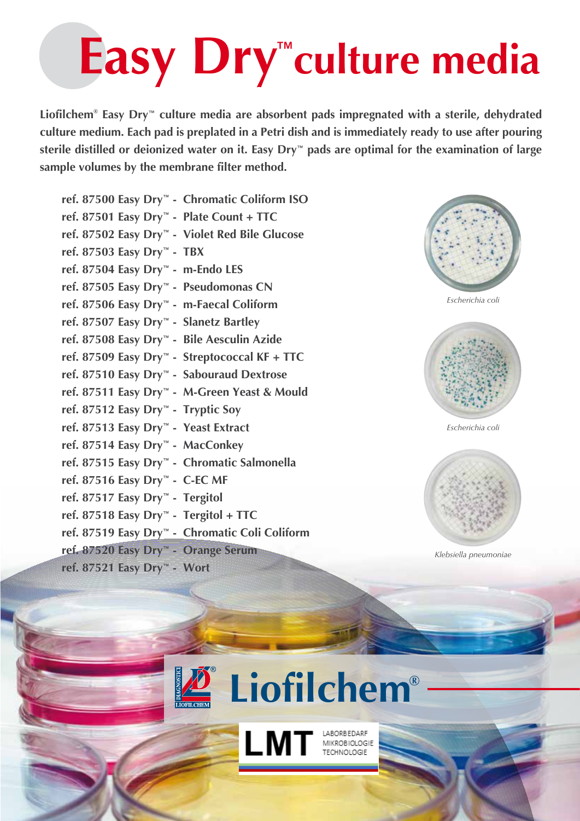## Easy Dry<sup>"</sup>culture media ™

**Liofilchem® Easy Dry**™ **culture media are absorbent pads impregnated with a sterile, dehydrated culture medium. Each pad is preplated in a Petri dish and is immediately ready to use after pouring sterile distilled or deionized water on it. Easy Dry**™ **pads are optimal for the examination of large sample volumes by the membrane filter method.**

**ref. 87500 Easy Dry**™ **- Chromatic Coliform ISO ref. 87501 Easy Dry**™ **- Plate Count + TTC ref. 87502 Easy Dry**™ **- Violet Red Bile Glucose ref. 87503 Easy Dry**™ **- TBX ref. 87504 Easy Dry**™ **- m-Endo LES ref. 87505 Easy Dry**™ **- Pseudomonas CN ref. 87506 Easy Dry**™ **- m-Faecal Coliform ref. 87507 Easy Dry**™ **- Slanetz Bartley ref. 87508 Easy Dry**™ **- Bile Aesculin Azide ref. 87509 Easy Dry**™ **- Streptococcal KF + TTC ref. 87510 Easy Dry**™ **- Sabouraud Dextrose ref. 87511 Easy Dry**™ **- M-Green Yeast & Mould ref. 87512 Easy Dry**™ **- Tryptic Soy ref. 87513 Easy Dry**™ **- Yeast Extract ref. 87514 Easy Dry**™ **- MacConkey ref. 87515 Easy Dry**™ **- Chromatic Salmonella ref. 87516 Easy Dry**™ **- C-EC MF ref. 87517 Easy Dry**™ **- Tergitol ref. 87518 Easy Dry**™ **- Tergitol + TTC ref. 87519 Easy Dry**™ **- Chromatic Coli Coliform ref. 87520 Easy Dry**™ **- Orange Serum**

**ref. 87521 Easy Dry**™ **- Wort**



*Escherichia coli*



*Escherichia coli*



*Klebsiella pneumoniae*



LMT MAROBIOLOGIE